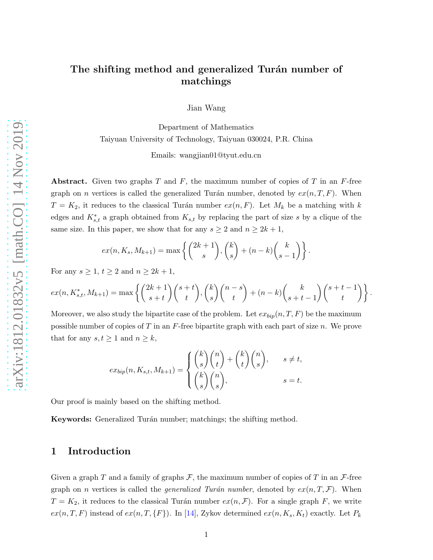# The shifting method and generalized Turán number of matchings

Jian Wang

Department of Mathematics Taiyuan University of Technology, Taiyuan 030024, P.R. China

Emails: wangjian01@tyut.edu.cn

**Abstract.** Given two graphs T and F, the maximum number of copies of T in an F-free graph on *n* vertices is called the generalized Turán number, denoted by  $ex(n, T, F)$ . When  $T = K_2$ , it reduces to the classical Turán number  $ex(n, F)$ . Let  $M_k$  be a matching with k edges and  $K_{s,t}^*$  a graph obtained from  $K_{s,t}$  by replacing the part of size s by a clique of the same size. In this paper, we show that for any  $s \geq 2$  and  $n \geq 2k + 1$ ,

$$
ex(n, K_s, M_{k+1}) = \max \left\{ {2k+1 \choose s}, {k \choose s} + (n-k){k \choose s-1} \right\}.
$$

For any  $s \geq 1$ ,  $t \geq 2$  and  $n \geq 2k + 1$ ,

$$
ex(n, K_{s,t}^*, M_{k+1}) = \max\left\{ {2k+1 \choose s+t} {s+t \choose t}, {k \choose s} {n-s \choose t} + (n-k){k \choose s+t-1}{s+t-1 \choose t} \right\}.
$$

Moreover, we also study the bipartite case of the problem. Let  $ex_{bip}(n, T, F)$  be the maximum possible number of copies of T in an  $F$ -free bipartite graph with each part of size n. We prove that for any  $s, t \geq 1$  and  $n \geq k$ ,

$$
ex_{bip}(n, K_{s,t}, M_{k+1}) = \begin{cases} {k \choose s} {n \choose t} + {k \choose t} {n \choose s}, & s \neq t, \\ {k \choose s} {n \choose s}, & s = t. \end{cases}
$$

Our proof is mainly based on the shifting method.

Keywords: Generalized Turán number; matchings; the shifting method.

### 1 Introduction

Given a graph T and a family of graphs  $\mathcal{F}$ , the maximum number of copies of T in an  $\mathcal{F}$ -free graph on *n* vertices is called the *generalized Turán number*, denoted by  $ex(n, T, \mathcal{F})$ . When  $T = K_2$ , it reduces to the classical Turán number  $ex(n, \mathcal{F})$ . For a single graph F, we write  $ex(n, T, F)$  instead of  $ex(n, T, {F})$ . In [\[14\]](#page-9-0), Zykov determined  $ex(n, K_s, K_t)$  exactly. Let  $P_k$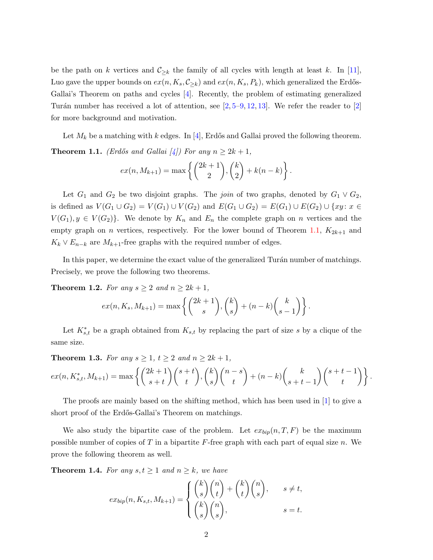be the path on k vertices and  $\mathcal{C}_{\geq k}$  the family of all cycles with length at least k. In [\[11\]](#page-8-0), Luo gave the upper bounds on  $ex(n, K_s, C_{\geq k})$  and  $ex(n, K_s, P_k)$ , which generalized the Erdős-Gallai's Theorem on paths and cycles [\[4\]](#page-8-1). Recently, the problem of estimating generalized Turán number has received a lot of attention, see  $[2, 5-9, 12, 13]$  $[2, 5-9, 12, 13]$  $[2, 5-9, 12, 13]$  $[2, 5-9, 12, 13]$  $[2, 5-9, 12, 13]$  $[2, 5-9, 12, 13]$ . We refer the reader to  $[2]$ for more background and motivation.

<span id="page-1-0"></span>Let  $M_k$  be a matching with k edges. In [\[4\]](#page-8-1), Erdős and Gallai proved the following theorem. **Theorem 1.1.** (Erdős and Gallai [\[4\]](#page-8-1)) For any  $n \geq 2k + 1$ ,

$$
ex(n, M_{k+1}) = max\left\{ {2k+1 \choose 2}, {k \choose 2} + k(n-k) \right\}.
$$

Let  $G_1$  and  $G_2$  be two disjoint graphs. The *join* of two graphs, denoted by  $G_1 \vee G_2$ , is defined as  $V(G_1 \cup G_2) = V(G_1) \cup V(G_2)$  and  $E(G_1 \cup G_2) = E(G_1) \cup E(G_2) \cup \{xy : x \in G_1\}$  $V(G_1), y \in V(G_2)$ . We denote by  $K_n$  and  $E_n$  the complete graph on n vertices and the empty graph on *n* vertices, respectively. For the lower bound of Theorem [1.1,](#page-1-0)  $K_{2k+1}$  and  $K_k \vee E_{n-k}$  are  $M_{k+1}$ -free graphs with the required number of edges.

In this paper, we determine the exact value of the generalized Turán number of matchings. Precisely, we prove the following two theorems.

<span id="page-1-1"></span>**Theorem 1.2.** For any  $s \geq 2$  and  $n \geq 2k+1$ ,

$$
ex(n, K_s, M_{k+1}) = \max \left\{ {2k+1 \choose s}, {k \choose s} + (n-k){k \choose s-1} \right\}.
$$

Let  $K_{s,t}^*$  be a graph obtained from  $K_{s,t}$  by replacing the part of size s by a clique of the same size.

<span id="page-1-2"></span>**Theorem 1.3.** For any  $s \geq 1$ ,  $t \geq 2$  and  $n \geq 2k + 1$ ,

$$
ex(n, K_{s,t}^*, M_{k+1}) = \max\left\{ {2k+1 \choose s+t} {s+t \choose t}, {k \choose s} {n-s \choose t} + (n-k) {k \choose s+t-1} {s+t-1 \choose t} \right\}.
$$

The proofs are mainly based on the shifting method, which has been used in [\[1\]](#page-8-6) to give a short proof of the Erdős-Gallai's Theorem on matchings.

We also study the bipartite case of the problem. Let  $\exp(n, T, F)$  be the maximum possible number of copies of T in a bipartite F-free graph with each part of equal size n. We prove the following theorem as well.

<span id="page-1-3"></span>**Theorem 1.4.** For any  $s, t \geq 1$  and  $n \geq k$ , we have

$$
ex_{bip}(n, K_{s,t}, M_{k+1}) = \begin{cases} {k \choose s} {n \choose t} + {k \choose t} {n \choose s}, & s \neq t, \\ {k \choose s} {n \choose s}, & s = t. \end{cases}
$$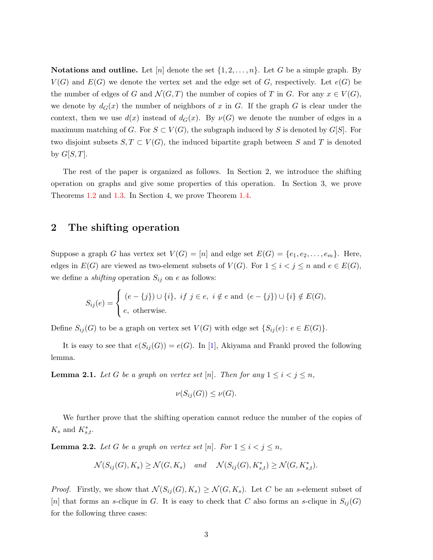**Notations and outline.** Let  $[n]$  denote the set  $\{1, 2, \ldots, n\}$ . Let G be a simple graph. By  $V(G)$  and  $E(G)$  we denote the vertex set and the edge set of G, respectively. Let  $e(G)$  be the number of edges of G and  $\mathcal{N}(G,T)$  the number of copies of T in G. For any  $x \in V(G)$ , we denote by  $d_G(x)$  the number of neighbors of x in G. If the graph G is clear under the context, then we use  $d(x)$  instead of  $d_G(x)$ . By  $\nu(G)$  we denote the number of edges in a maximum matching of G. For  $S \subset V(G)$ , the subgraph induced by S is denoted by G[S]. For two disjoint subsets  $S, T \subset V(G)$ , the induced bipartite graph between S and T is denoted by  $G[S,T]$ .

The rest of the paper is organized as follows. In Section 2, we introduce the shifting operation on graphs and give some properties of this operation. In Section 3, we prove Theorems [1.2](#page-1-1) and [1.3.](#page-1-2) In Section 4, we prove Theorem [1.4.](#page-1-3)

### 2 The shifting operation

Suppose a graph G has vertex set  $V(G) = [n]$  and edge set  $E(G) = \{e_1, e_2, \ldots, e_m\}$ . Here, edges in  $E(G)$  are viewed as two-element subsets of  $V(G)$ . For  $1 \leq i < j \leq n$  and  $e \in E(G)$ , we define a *shifting* operation  $S_{ij}$  on e as follows:

$$
S_{ij}(e) = \begin{cases} (e - \{j\}) \cup \{i\}, & \text{if } j \in e, i \notin e \text{ and } (e - \{j\}) \cup \{i\} \notin E(G), \\ e, & \text{otherwise.} \end{cases}
$$

Define  $S_{ij}(G)$  to be a graph on vertex set  $V(G)$  with edge set  $\{S_{ij} (e) \colon e \in E(G)\}$ .

It is easy to see that  $e(S_{ij}(G)) = e(G)$ . In [\[1\]](#page-8-6), Akiyama and Frankl proved the following lemma.

<span id="page-2-0"></span>**Lemma 2.1.** Let G be a graph on vertex set [n]. Then for any  $1 \leq i < j \leq n$ ,

$$
\nu(S_{ij}(G)) \leq \nu(G).
$$

We further prove that the shifting operation cannot reduce the number of the copies of  $K_s$  and  $K_{s,t}^*$ .

<span id="page-2-1"></span>**Lemma 2.2.** Let G be a graph on vertex set [n]. For  $1 \leq i < j \leq n$ ,

 $\mathcal{N}(S_{ij}(G), K_s) \ge \mathcal{N}(G, K_s)$  and  $\mathcal{N}(S_{ij}(G), K_{s,t}^*) \ge \mathcal{N}(G, K_{s,t}^*)$ .

*Proof.* Firstly, we show that  $\mathcal{N}(S_{ij}(G), K_s) \geq \mathcal{N}(G, K_s)$ . Let C be an s-element subset of [n] that forms an s-clique in G. It is easy to check that C also forms an s-clique in  $S_{ij}(G)$ for the following three cases: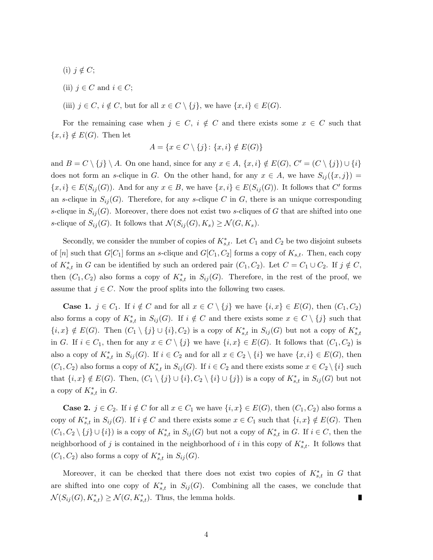- (i)  $j \notin C$ ;
- (ii)  $j \in C$  and  $i \in C$ ;
- (iii)  $j \in C$ ,  $i \notin C$ , but for all  $x \in C \setminus \{j\}$ , we have  $\{x, i\} \in E(G)$ .

For the remaining case when  $j \in C$ ,  $i \notin C$  and there exists some  $x \in C$  such that  $\{x, i\} \notin E(G)$ . Then let

$$
A = \{x \in C \setminus \{j\} \colon \{x, i\} \notin E(G)\}
$$

and  $B = C \setminus \{j\} \setminus A$ . On one hand, since for any  $x \in A$ ,  $\{x, i\} \notin E(G)$ ,  $C' = (C \setminus \{j\}) \cup \{i\}$ does not form an s-clique in G. On the other hand, for any  $x \in A$ , we have  $S_{ij}(\lbrace x,j \rbrace) =$  $\{x,i\} \in E(S_{ij}(G))$ . And for any  $x \in B$ , we have  $\{x,i\} \in E(S_{ij}(G))$ . It follows that C' forms an s-clique in  $S_{ij}(G)$ . Therefore, for any s-clique C in G, there is an unique corresponding s-clique in  $S_{ij}(G)$ . Moreover, there does not exist two s-cliques of G that are shifted into one s-clique of  $S_{ij}(G)$ . It follows that  $\mathcal{N}(S_{ij}(G), K_s) \geq \mathcal{N}(G, K_s)$ .

Secondly, we consider the number of copies of  $K_{s,t}^*$ . Let  $C_1$  and  $C_2$  be two disjoint subsets of [n] such that  $G[C_1]$  forms an s-clique and  $G[C_1, C_2]$  forms a copy of  $K_{s,t}$ . Then, each copy of  $K_{s,t}^*$  in G can be identified by such an ordered pair  $(C_1, C_2)$ . Let  $C = C_1 \cup C_2$ . If  $j \notin C$ , then  $(C_1, C_2)$  also forms a copy of  $K_{s,t}^*$  in  $S_{ij}(G)$ . Therefore, in the rest of the proof, we assume that  $j \in C$ . Now the proof splits into the following two cases.

**Case 1.**  $j \in C_1$ . If  $i \notin C$  and for all  $x \in C \setminus \{j\}$  we have  $\{i, x\} \in E(G)$ , then  $(C_1, C_2)$ also forms a copy of  $K_{s,t}^*$  in  $S_{ij}(G)$ . If  $i \notin C$  and there exists some  $x \in C \setminus \{j\}$  such that  ${i, x} \notin E(G)$ . Then  $(C_1 \setminus {j} \cup {i}, C_2)$  is a copy of  $K_{s,t}^*$  in  $S_{ij}(G)$  but not a copy of  $K_{s,t}^*$ in G. If  $i \in C_1$ , then for any  $x \in C \setminus \{j\}$  we have  $\{i, x\} \in E(G)$ . It follows that  $(C_1, C_2)$  is also a copy of  $K_{s,t}^*$  in  $S_{ij}(G)$ . If  $i \in C_2$  and for all  $x \in C_2 \setminus \{i\}$  we have  $\{x, i\} \in E(G)$ , then  $(C_1, C_2)$  also forms a copy of  $K_{s,t}^*$  in  $S_{ij}(G)$ . If  $i \in C_2$  and there exists some  $x \in C_2 \setminus \{i\}$  such that  $\{i, x\} \notin E(G)$ . Then,  $(C_1 \setminus \{j\} \cup \{i\}, C_2 \setminus \{i\} \cup \{j\})$  is a copy of  $K_{s,t}^*$  in  $S_{ij}(G)$  but not a copy of  $K_{s,t}^*$  in G.

**Case 2.**  $j \in C_2$ . If  $i \notin C$  for all  $x \in C_1$  we have  $\{i, x\} \in E(G)$ , then  $(C_1, C_2)$  also forms a copy of  $K_{s,t}^*$  in  $S_{ij}(G)$ . If  $i \notin C$  and there exists some  $x \in C_1$  such that  $\{i, x\} \notin E(G)$ . Then  $(C_1, C_2 \setminus \{j\} \cup \{i\})$  is a copy of  $K_{s,t}^*$  in  $S_{ij}(G)$  but not a copy of  $K_{s,t}^*$  in G. If  $i \in C$ , then the neighborhood of j is contained in the neighborhood of i in this copy of  $K_{s,t}^*$ . It follows that  $(C_1, C_2)$  also forms a copy of  $K_{s,t}^*$  in  $S_{ij}(G)$ .

Moreover, it can be checked that there does not exist two copies of  $K_{s,t}^*$  in G that are shifted into one copy of  $K_{s,t}^*$  in  $S_{ij}(G)$ . Combining all the cases, we conclude that  $\mathcal{N}(S_{ij}(G), K_{s,t}^*) \ge \mathcal{N}(G, K_{s,t}^*)$ . Thus, the lemma holds.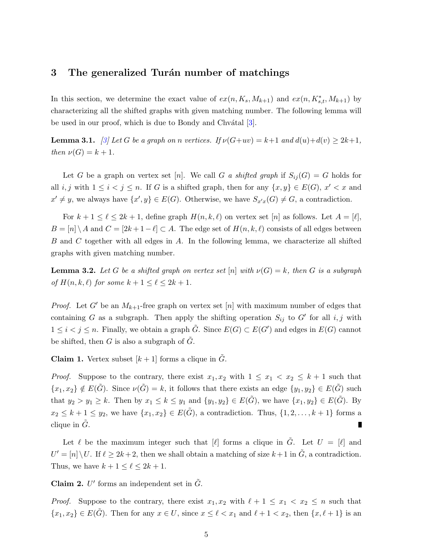### 3 The generalized Turan number of matchings

In this section, we determine the exact value of  $ex(n, K_s, M_{k+1})$  and  $ex(n, K_{s,t}^*, M_{k+1})$  by characterizing all the shifted graphs with given matching number. The following lemma will be used in our proof, which is due to Bondy and Chv $\alpha$ tal [\[3\]](#page-8-7).

<span id="page-4-0"></span>**Lemma 3.1.** [\[3\]](#page-8-7) Let G be a graph on n vertices. If  $\nu(G+uv) = k+1$  and  $d(u)+d(v) \geq 2k+1$ , then  $\nu(G) = k + 1$ .

Let G be a graph on vertex set [n]. We call G a shifted graph if  $S_{ij}(G) = G$  holds for all  $i, j$  with  $1 \leq i < j \leq n$ . If G is a shifted graph, then for any  $\{x, y\} \in E(G)$ ,  $x' < x$  and  $x' \neq y$ , we always have  $\{x', y\} \in E(G)$ . Otherwise, we have  $S_{x'x}(G) \neq G$ , a contradiction.

For  $k + 1 \leq \ell \leq 2k + 1$ , define graph  $H(n, k, \ell)$  on vertex set [n] as follows. Let  $A = [\ell],$  $B = [n] \setminus A$  and  $C = [2k + 1 - \ell] \subset A$ . The edge set of  $H(n, k, \ell)$  consists of all edges between B and C together with all edges in A. In the following lemma, we characterize all shifted graphs with given matching number.

<span id="page-4-1"></span>**Lemma 3.2.** Let G be a shifted graph on vertex set  $[n]$  with  $\nu(G) = k$ , then G is a subgraph of  $H(n, k, \ell)$  for some  $k + 1 \leq \ell \leq 2k + 1$ .

*Proof.* Let G' be an  $M_{k+1}$ -free graph on vertex set [n] with maximum number of edges that containing G as a subgraph. Then apply the shifting operation  $S_{ij}$  to G' for all i, j with  $1 \leq i < j \leq n$ . Finally, we obtain a graph  $\tilde{G}$ . Since  $E(G) \subset E(G')$  and edges in  $E(G)$  cannot be shifted, then  $G$  is also a subgraph of  $G$ .

**Claim 1.** Vertex subset  $[k+1]$  forms a clique in G.

*Proof.* Suppose to the contrary, there exist  $x_1, x_2$  with  $1 \le x_1 < x_2 \le k+1$  such that  $\{x_1, x_2\} \notin E(\tilde{G})$ . Since  $\nu(\tilde{G}) = k$ , it follows that there exists an edge  $\{y_1, y_2\} \in E(\tilde{G})$  such that  $y_2 > y_1 \geq k$ . Then by  $x_1 \leq k \leq y_1$  and  $\{y_1, y_2\} \in E(\tilde{G})$ , we have  $\{x_1, y_2\} \in E(\tilde{G})$ . By  $x_2 \leq k+1 \leq y_2$ , we have  $\{x_1, x_2\} \in E(\tilde{G})$ , a contradiction. Thus,  $\{1, 2, \ldots, k+1\}$  forms a clique in  $\tilde{G}$ .  $\blacksquare$ 

Let  $\ell$  be the maximum integer such that  $[\ell]$  forms a clique in  $\tilde{G}$ . Let  $U = [\ell]$  and  $U' = [n] \setminus U$ . If  $\ell \geq 2k + 2$ , then we shall obtain a matching of size  $k+1$  in  $\tilde{G}$ , a contradiction. Thus, we have  $k + 1 \leq \ell \leq 2k + 1$ .

Claim 2.  $U'$  forms an independent set in  $\tilde{G}$ .

*Proof.* Suppose to the contrary, there exist  $x_1, x_2$  with  $\ell + 1 \le x_1 < x_2 \le n$  such that  $\{x_1, x_2\} \in E(\tilde{G})$ . Then for any  $x \in U$ , since  $x \leq \ell < x_1$  and  $\ell + 1 < x_2$ , then  $\{x, \ell + 1\}$  is an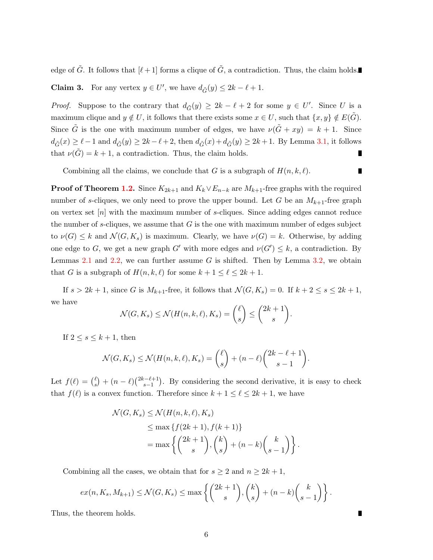edge of  $\tilde{G}$ . It follows that  $[\ell+1]$  forms a clique of  $\tilde{G}$ , a contradiction. Thus, the claim holds.

**Claim 3.** For any vertex  $y \in U'$ , we have  $d_{\tilde{G}}(y) \leq 2k - \ell + 1$ .

*Proof.* Suppose to the contrary that  $d_{\tilde{G}}(y) \geq 2k - \ell + 2$  for some  $y \in U'$ . Since U is a maximum clique and  $y \notin U$ , it follows that there exists some  $x \in U$ , such that  $\{x, y\} \notin E(G)$ . Since  $\tilde{G}$  is the one with maximum number of edges, we have  $\nu(\tilde{G} + xy) = k + 1$ . Since  $d_{\tilde{G}}(x) \geq \ell - 1$  and  $d_{\tilde{G}}(y) \geq 2k - \ell + 2$ , then  $d_{\tilde{G}}(x) + d_{\tilde{G}}(y) \geq 2k + 1$ . By Lemma [3.1,](#page-4-0) it follows that  $\nu(\tilde{G}) = k + 1$ , a contradiction. Thus, the claim holds.

Combining all the claims, we conclude that G is a subgraph of  $H(n, k, \ell)$ .

П

**Proof of Theorem [1.2.](#page-1-1)** Since  $K_{2k+1}$  and  $K_k \vee E_{n-k}$  are  $M_{k+1}$ -free graphs with the required number of s-cliques, we only need to prove the upper bound. Let G be an  $M_{k+1}$ -free graph on vertex set [n] with the maximum number of s-cliques. Since adding edges cannot reduce the number of s-cliques, we assume that  $G$  is the one with maximum number of edges subject to  $\nu(G) \leq k$  and  $\mathcal{N}(G, K_s)$  is maximum. Clearly, we have  $\nu(G) = k$ . Otherwise, by adding one edge to G, we get a new graph G' with more edges and  $\nu(G') \leq k$ , a contradiction. By Lemmas [2.1](#page-2-0) and [2.2,](#page-2-1) we can further assume G is shifted. Then by Lemma [3.2,](#page-4-1) we obtain that G is a subgraph of  $H(n, k, \ell)$  for some  $k + 1 \leq \ell \leq 2k + 1$ .

If  $s > 2k + 1$ , since G is  $M_{k+1}$ -free, it follows that  $\mathcal{N}(G, K_s) = 0$ . If  $k + 2 \leq s \leq 2k + 1$ , we have

$$
\mathcal{N}(G, K_s) \le \mathcal{N}(H(n,k,\ell), K_s) = \binom{\ell}{s} \le \binom{2k+1}{s}.
$$

If  $2 \leq s \leq k+1$ , then

$$
\mathcal{N}(G, K_s) \le \mathcal{N}(H(n, k, \ell), K_s) = \binom{\ell}{s} + (n - \ell) \binom{2k - \ell + 1}{s - 1}.
$$

Let  $f(\ell) = \binom{\ell}{s}$  $\binom{\ell}{s} + (n-\ell) \binom{2k-\ell+1}{s-1}$  $s-1$ ). By considering the second derivative, it is easy to check that  $f(\ell)$  is a convex function. Therefore since  $k + 1 \leq \ell \leq 2k + 1$ , we have

$$
\mathcal{N}(G, K_s) \le \mathcal{N}(H(n, k, \ell), K_s)
$$
  
\n
$$
\le \max \{ f(2k+1), f(k+1) \}
$$
  
\n
$$
= \max \left\{ {2k+1 \choose s}, {k \choose s} + (n-k){k \choose s-1} \right\}.
$$

Combining all the cases, we obtain that for  $s \geq 2$  and  $n \geq 2k + 1$ ,

$$
ex(n, K_s, M_{k+1}) \leq \mathcal{N}(G, K_s) \leq \max \left\{ {2k+1 \choose s}, {k \choose s} + (n-k){k \choose s-1} \right\}.
$$

Thus, the theorem holds.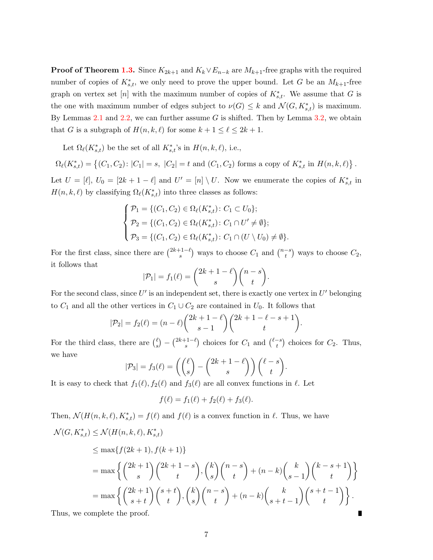**Proof of Theorem [1.3.](#page-1-2)** Since  $K_{2k+1}$  and  $K_k \vee E_{n-k}$  are  $M_{k+1}$ -free graphs with the required number of copies of  $K^*_{s,t}$ , we only need to prove the upper bound. Let G be an  $M_{k+1}$ -free graph on vertex set [n] with the maximum number of copies of  $K_{s,t}^*$ . We assume that G is the one with maximum number of edges subject to  $\nu(G) \leq k$  and  $\mathcal{N}(G, K^*_{s,t})$  is maximum. By Lemmas [2.1](#page-2-0) and [2.2,](#page-2-1) we can further assume  $G$  is shifted. Then by Lemma [3.2,](#page-4-1) we obtain that G is a subgraph of  $H(n, k, \ell)$  for some  $k + 1 \leq \ell \leq 2k + 1$ .

Let  $\Omega_{\ell}(K^*_{s,t})$  be the set of all  $K^*_{s,t}$ 's in  $H(n,k,\ell)$ , i.e.,

$$
\Omega_{\ell}(K_{s,t}^*) = \left\{ (C_1, C_2) : |C_1| = s, |C_2| = t \text{ and } (C_1, C_2) \text{ forms a copy of } K_{s,t}^* \text{ in } H(n,k,\ell) \right\}.
$$

Let  $U = [\ell], U_0 = [2k+1-\ell]$  and  $U' = [n] \setminus U$ . Now we enumerate the copies of  $K_{s,t}^*$  in  $H(n, k, \ell)$  by classifying  $\Omega_{\ell}(K_{s,t}^{*})$  into three classes as follows:

$$
\begin{cases}\n\mathcal{P}_1 = \{ (C_1, C_2) \in \Omega_{\ell}(K_{s,t}^*) \colon C_1 \subset U_0 \}; \\
\mathcal{P}_2 = \{ (C_1, C_2) \in \Omega_{\ell}(K_{s,t}^*) \colon C_1 \cap U' \neq \emptyset \}; \\
\mathcal{P}_3 = \{ (C_1, C_2) \in \Omega_{\ell}(K_{s,t}^*) \colon C_1 \cap (U \setminus U_0) \neq \emptyset \}.\n\end{cases}
$$

For the first class, since there are  $\binom{2k+1-\ell}{s}$  $\binom{-1-\ell}{s}$  ways to choose  $C_1$  and  $\binom{n-s}{t}$  $\binom{-s}{t}$  ways to choose  $C_2$ , it follows that

$$
|\mathcal{P}_1| = f_1(\ell) = {2k+1-\ell \choose s} {n-s \choose t}.
$$

For the second class, since  $U'$  is an independent set, there is exactly one vertex in  $U'$  belonging to  $C_1$  and all the other vertices in  $C_1 \cup C_2$  are contained in  $U_0$ . It follows that

$$
|\mathcal{P}_2| = f_2(\ell) = (n - \ell) \binom{2k + 1 - \ell}{s - 1} \binom{2k + 1 - \ell - s + 1}{t}.
$$

For the third class, there are  $\binom{\ell}{s}$  $\binom{\ell}{s} - \binom{2k+1-\ell}{s}$  $\binom{-1-\ell}{s}$  choices for  $C_1$  and  $\binom{\ell-s}{t}$  $\binom{-s}{t}$  choices for  $C_2$ . Thus, we have

$$
|\mathcal{P}_3| = f_3(\ell) = \left( \binom{\ell}{s} - \binom{2k+1-\ell}{s} \right) \binom{\ell-s}{t}.
$$

It is easy to check that  $f_1(\ell), f_2(\ell)$  and  $f_3(\ell)$  are all convex functions in  $\ell$ . Let

$$
f(\ell) = f_1(\ell) + f_2(\ell) + f_3(\ell).
$$

Then,  $\mathcal{N}(H(n,k,\ell), K_{s,t}^*) = f(\ell)$  and  $f(\ell)$  is a convex function in  $\ell$ . Thus, we have

$$
\mathcal{N}(G, K_{s,t}^*) \leq \mathcal{N}(H(n,k,\ell), K_{s,t}^*)
$$
\n
$$
\leq \max\{f(2k+1), f(k+1)\}
$$
\n
$$
= \max\left\{ \binom{2k+1}{s} \binom{2k+1-s}{t}, \binom{k}{s} \binom{n-s}{t} + (n-k) \binom{k}{s-1} \binom{k-s+1}{t} \right\}
$$
\n
$$
= \max\left\{ \binom{2k+1}{s+t} \binom{s+t}{t}, \binom{k}{s} \binom{n-s}{t} + (n-k) \binom{k}{s+t-1} \binom{s+t-1}{t} \right\}.
$$
\nThus, we complete the proof.

Thus, we complete the proof.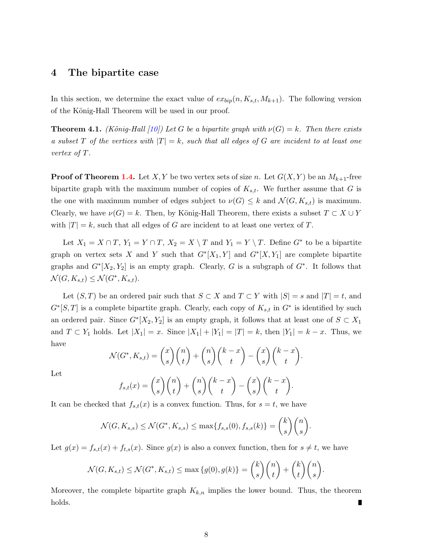#### 4 The bipartite case

In this section, we determine the exact value of  $ex_{bin}(n, K_{s,t}, M_{k+1})$ . The following version of the König-Hall Theorem will be used in our proof.

**Theorem 4.1.** (König-Hall [\[10\]](#page-8-8)) Let G be a bipartite graph with  $\nu(G) = k$ . Then there exists a subset T of the vertices with  $|T| = k$ , such that all edges of G are incident to at least one vertex of T.

**Proof of Theorem [1.4.](#page-1-3)** Let X, Y be two vertex sets of size n. Let  $G(X, Y)$  be an  $M_{k+1}$ -free bipartite graph with the maximum number of copies of  $K_{s,t}$ . We further assume that G is the one with maximum number of edges subject to  $\nu(G) \leq k$  and  $\mathcal{N}(G, K_{s,t})$  is maximum. Clearly, we have  $\nu(G) = k$ . Then, by König-Hall Theorem, there exists a subset  $T \subset X \cup Y$ with  $|T| = k$ , such that all edges of G are incident to at least one vertex of T.

Let  $X_1 = X \cap T$ ,  $Y_1 = Y \cap T$ ,  $X_2 = X \setminus T$  and  $Y_1 = Y \setminus T$ . Define  $G^*$  to be a bipartite graph on vertex sets X and Y such that  $G^*[X_1, Y]$  and  $G^*[X, Y_1]$  are complete bipartite graphs and  $G^*[X_2, Y_2]$  is an empty graph. Clearly, G is a subgraph of  $G^*$ . It follows that  $\mathcal{N}(G, K_{s,t}) \leq \mathcal{N}(G^*, K_{s,t}).$ 

Let  $(S, T)$  be an ordered pair such that  $S \subset X$  and  $T \subset Y$  with  $|S| = s$  and  $|T| = t$ , and  $G<sup>*</sup>[S,T]$  is a complete bipartite graph. Clearly, each copy of  $K_{s,t}$  in  $G<sup>*</sup>$  is identified by such an ordered pair. Since  $G^*[X_2, Y_2]$  is an empty graph, it follows that at least one of  $S \subset X_1$ and  $T \subset Y_1$  holds. Let  $|X_1| = x$ . Since  $|X_1| + |Y_1| = |T| = k$ , then  $|Y_1| = k - x$ . Thus, we have

$$
\mathcal{N}(G^*, K_{s,t}) = \binom{x}{s} \binom{n}{t} + \binom{n}{s} \binom{k-x}{t} - \binom{x}{s} \binom{k-x}{t}.
$$

Let

$$
f_{s,t}(x) = {x \choose s} {n \choose t} + {n \choose s} {k-x \choose t} - {x \choose s} {k-x \choose t}.
$$

It can be checked that  $f_{s,t}(x)$  is a convex function. Thus, for  $s = t$ , we have

$$
\mathcal{N}(G, K_{s,s}) \leq \mathcal{N}(G^*, K_{s,s}) \leq \max\{f_{s,s}(0), f_{s,s}(k)\} = \binom{k}{s}\binom{n}{s}.
$$

Let  $g(x) = f_{s,t}(x) + f_{t,s}(x)$ . Since  $g(x)$  is also a convex function, then for  $s \neq t$ , we have

$$
\mathcal{N}(G, K_{s,t}) \leq \mathcal{N}(G^*, K_{s,t}) \leq \max\{g(0), g(k)\} = {k \choose s} {n \choose t} + {k \choose t} {n \choose s}.
$$

Moreover, the complete bipartite graph  $K_{k,n}$  implies the lower bound. Thus, the theorem holds.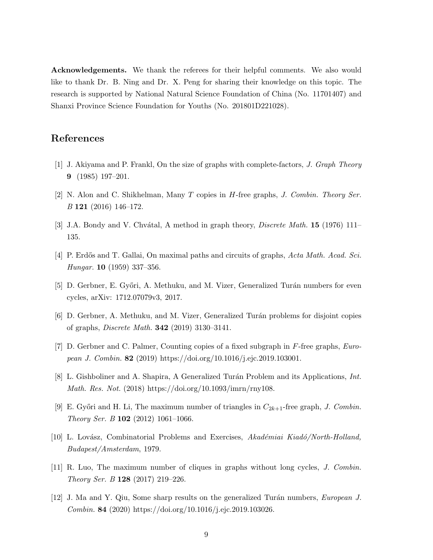Acknowledgements. We thank the referees for their helpful comments. We also would like to thank Dr. B. Ning and Dr. X. Peng for sharing their knowledge on this topic. The research is supported by National Natural Science Foundation of China (No. 11701407) and Shanxi Province Science Foundation for Youths (No. 201801D221028).

## <span id="page-8-6"></span>References

- <span id="page-8-2"></span>[1] J. Akiyama and P. Frankl, On the size of graphs with complete-factors, J. Graph Theory 9 (1985) 197–201.
- <span id="page-8-7"></span>[2] N. Alon and C. Shikhelman, Many T copies in H-free graphs, J. Combin. Theory Ser. B 121 (2016) 146–172.
- <span id="page-8-1"></span>[3] J.A. Bondy and V. Chvátal, A method in graph theory, *Discrete Math.* **15** (1976) 111– 135.
- <span id="page-8-3"></span>[4] P. Erdős and T. Gallai, On maximal paths and circuits of graphs, Acta Math. Acad. Sci. Hungar. 10 (1959) 337–356.
- [5] D. Gerbner, E. Győri, A. Methuku, and M. Vizer, Generalized Turán numbers for even cycles, arXiv: 1712.07079v3, 2017.
- [6] D. Gerbner, A. Methuku, and M. Vizer, Generalized Tur´an problems for disjoint copies of graphs, Discrete Math. 342 (2019) 3130–3141.
- [7] D. Gerbner and C. Palmer, Counting copies of a fixed subgraph in F-free graphs, European J. Combin. 82 (2019) https://doi.org/10.1016/j.ejc.2019.103001.
- <span id="page-8-4"></span>[8] L. Gishboliner and A. Shapira, A Generalized Turán Problem and its Applications, *Int.* Math. Res. Not. (2018) https://doi.org/10.1093/imrn/rny108.
- <span id="page-8-8"></span>[9] E. Győri and H. Li, The maximum number of triangles in  $C_{2k+1}$ -free graph, J. Combin. Theory Ser. B 102 (2012) 1061–1066.
- <span id="page-8-0"></span>[10] L. Lovász, Combinatorial Problems and Exercises, Akadémiai Kiadó/North-Holland, Budapest/Amsterdam, 1979.
- <span id="page-8-5"></span>[11] R. Luo, The maximum number of cliques in graphs without long cycles, J. Combin. Theory Ser. B 128 (2017) 219–226.
- [12] J. Ma and Y. Qiu, Some sharp results on the generalized Turán numbers, European J. Combin. 84 (2020) https://doi.org/10.1016/j.ejc.2019.103026.